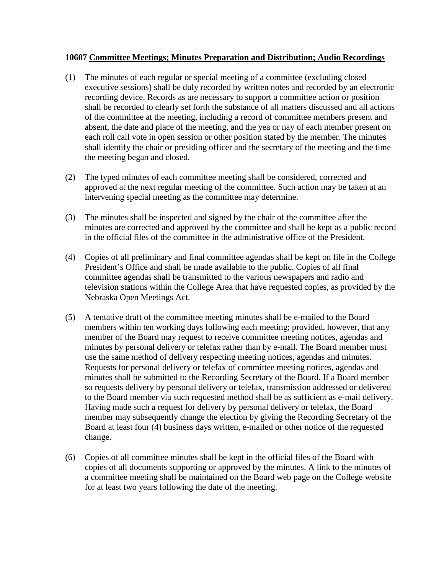## **10607 Committee Meetings; Minutes Preparation and Distribution; Audio Recordings**

- (1) The minutes of each regular or special meeting of a committee (excluding closed executive sessions) shall be duly recorded by written notes and recorded by an electronic recording device. Records as are necessary to support a committee action or position shall be recorded to clearly set forth the substance of all matters discussed and all actions of the committee at the meeting, including a record of committee members present and absent, the date and place of the meeting, and the yea or nay of each member present on each roll call vote in open session or other position stated by the member. The minutes shall identify the chair or presiding officer and the secretary of the meeting and the time the meeting began and closed.
- (2) The typed minutes of each committee meeting shall be considered, corrected and approved at the next regular meeting of the committee. Such action may be taken at an intervening special meeting as the committee may determine.
- (3) The minutes shall be inspected and signed by the chair of the committee after the minutes are corrected and approved by the committee and shall be kept as a public record in the official files of the committee in the administrative office of the President.
- (4) Copies of all preliminary and final committee agendas shall be kept on file in the College President's Office and shall be made available to the public. Copies of all final committee agendas shall be transmitted to the various newspapers and radio and television stations within the College Area that have requested copies, as provided by the Nebraska Open Meetings Act.
- (5) A tentative draft of the committee meeting minutes shall be e-mailed to the Board members within ten working days following each meeting; provided, however, that any member of the Board may request to receive committee meeting notices, agendas and minutes by personal delivery or telefax rather than by e-mail. The Board member must use the same method of delivery respecting meeting notices, agendas and minutes. Requests for personal delivery or telefax of committee meeting notices, agendas and minutes shall be submitted to the Recording Secretary of the Board. If a Board member so requests delivery by personal delivery or telefax, transmission addressed or delivered to the Board member via such requested method shall be as sufficient as e-mail delivery. Having made such a request for delivery by personal delivery or telefax, the Board member may subsequently change the election by giving the Recording Secretary of the Board at least four (4) business days written, e-mailed or other notice of the requested change.
- (6) Copies of all committee minutes shall be kept in the official files of the Board with copies of all documents supporting or approved by the minutes. A link to the minutes of a committee meeting shall be maintained on the Board web page on the College website for at least two years following the date of the meeting.